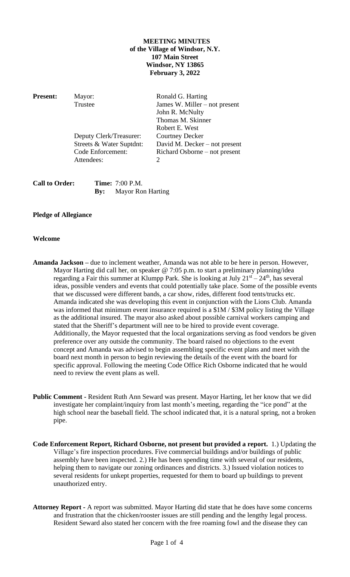# **MEETING MINUTES of the Village of Windsor, N.Y. 107 Main Street Windsor, NY 13865 February 3, 2022**

Deputy Clerk/Treasurer: Courtney Decker Attendees: 2

**Present:** Mayor: Ronald G. Harting Trustee James W. Miller – not present John R. McNulty Thomas M. Skinner Robert E. West Streets & Water Suptdnt: David M. Decker – not present Code Enforcement: Richard Osborne – not present

| <b>Call to Order:</b> | <b>Time:</b> 7:00 P.M.       |
|-----------------------|------------------------------|
|                       | <b>By:</b> Mayor Ron Harting |

## **Pledge of Allegiance**

## **Welcome**

- **Amanda Jackson –** due to inclement weather, Amanda was not able to be here in person. However, Mayor Harting did call her, on speaker @ 7:05 p.m. to start a preliminary planning/idea regarding a Fair this summer at Klumpp Park. She is looking at July  $21<sup>st</sup> - 24<sup>th</sup>$ , has several ideas, possible venders and events that could potentially take place. Some of the possible events that we discussed were different bands, a car show, rides, different food tents/trucks etc. Amanda indicated she was developing this event in conjunction with the Lions Club. Amanda was informed that minimum event insurance required is a \$1M / \$3M policy listing the Village as the additional insured. The mayor also asked about possible carnival workers camping and stated that the Sheriff's department will nee to be hired to provide event coverage. Additionally, the Mayor requested that the local organizations serving as food vendors be given preference over any outside the community. The board raised no objections to the event concept and Amanda was advised to begin assembling specific event plans and meet with the board next month in person to begin reviewing the details of the event with the board for specific approval. Following the meeting Code Office Rich Osborne indicated that he would need to review the event plans as well.
- **Public Comment -** Resident Ruth Ann Seward was present. Mayor Harting, let her know that we did investigate her complaint/inquiry from last month's meeting, regarding the "ice pond" at the high school near the baseball field. The school indicated that, it is a natural spring, not a broken pipe.
- **Code Enforcement Report, Richard Osborne, not present but provided a report.** 1.) Updating the Village's fire inspection procedures. Five commercial buildings and/or buildings of public assembly have been inspected. 2.) He has been spending time with several of our residents, helping them to navigate our zoning ordinances and districts. 3.) Issued violation notices to several residents for unkept properties, requested for them to board up buildings to prevent unauthorized entry.
- **Attorney Report -** A report was submitted. Mayor Harting did state that he does have some concerns and frustration that the chicken/rooster issues are still pending and the lengthy legal process. Resident Seward also stated her concern with the free roaming fowl and the disease they can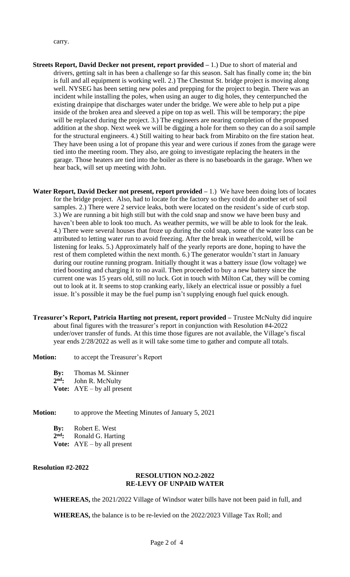- **Streets Report, David Decker not present, report provided –** 1.) Due to short of material and drivers, getting salt in has been a challenge so far this season. Salt has finally come in; the bin is full and all equipment is working well. 2.) The Chestnut St. bridge project is moving along well. NYSEG has been setting new poles and prepping for the project to begin. There was an incident while installing the poles, when using an auger to dig holes, they centerpunched the existing drainpipe that discharges water under the bridge. We were able to help put a pipe inside of the broken area and sleeved a pipe on top as well. This will be temporary; the pipe will be replaced during the project. 3.) The engineers are nearing completion of the proposed addition at the shop. Next week we will be digging a hole for them so they can do a soil sample for the structural engineers. 4.) Still waiting to hear back from Mirabito on the fire station heat. They have been using a lot of propane this year and were curious if zones from the garage were tied into the meeting room. They also, are going to investigate replacing the heaters in the garage. Those heaters are tied into the boiler as there is no baseboards in the garage. When we hear back, will set up meeting with John.
- **Water Report, David Decker not present, report provided –** 1.) We have been doing lots of locates for the bridge project. Also, had to locate for the factory so they could do another set of soil samples. 2.) There were 2 service leaks, both were located on the resident's side of curb stop. 3.) We are running a bit high still but with the cold snap and snow we have been busy and haven't been able to look too much. As weather permits, we will be able to look for the leak. 4.) There were several houses that froze up during the cold snap, some of the water loss can be attributed to letting water run to avoid freezing. After the break in weather/cold, will be listening for leaks. 5.) Approximately half of the yearly reports are done, hoping to have the rest of them completed within the next month. 6.) The generator wouldn't start in January during our routine running program. Initially thought it was a battery issue (low voltage) we tried boosting and charging it to no avail. Then proceeded to buy a new battery since the current one was 15 years old, still no luck. Got in touch with Milton Cat, they will be coming out to look at it. It seems to stop cranking early, likely an electrical issue or possibly a fuel issue. It's possible it may be the fuel pump isn't supplying enough fuel quick enough.
- **Treasurer's Report, Patricia Harting not present, report provided –** Trustee McNulty did inquire about final figures with the treasurer's report in conjunction with Resolution #4-2022 under/over transfer of funds. At this time those figures are not available, the Village's fiscal year ends 2/28/2022 as well as it will take some time to gather and compute all totals.
- **Motion:** to accept the Treasurer's Report
	- **By:** Thomas M. Skinner 2<sup>nd</sup>: **nd:** John R. McNulty **Vote:** AYE – by all present
- **Motion:** to approve the Meeting Minutes of January 5, 2021
	- **By:** Robert E. West 2<sup>nd</sup>: **Ronald G. Harting Vote:** AYE – by all present

# **Resolution #2-2022**

# **RESOLUTION NO.2-2022 RE-LEVY OF UNPAID WATER**

**WHEREAS,** the 2021/2022 Village of Windsor water bills have not been paid in full, and

**WHEREAS,** the balance is to be re-levied on the 2022/2023 Village Tax Roll; and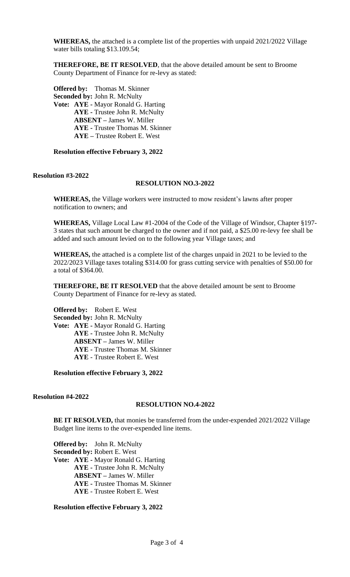**WHEREAS,** the attached is a complete list of the properties with unpaid 2021/2022 Village water bills totaling \$13.109.54;

**THEREFORE, BE IT RESOLVED**, that the above detailed amount be sent to Broome County Department of Finance for re-levy as stated:

**Offered by:** Thomas M. Skinner **Seconded by:** John R. McNulty **Vote: AYE -** Mayor Ronald G. Harting **AYE -** Trustee John R. McNulty **ABSENT –** James W. Miller **AYE -** Trustee Thomas M. Skinner **AYE –** Trustee Robert E. West

### **Resolution effective February 3, 2022**

## **Resolution #3-2022**

### **RESOLUTION NO.3-2022**

**WHEREAS,** the Village workers were instructed to mow resident's lawns after proper notification to owners; and

**WHEREAS,** Village Local Law #1-2004 of the Code of the Village of Windsor, Chapter §197- 3 states that such amount be charged to the owner and if not paid, a \$25.00 re-levy fee shall be added and such amount levied on to the following year Village taxes; and

**WHEREAS,** the attached is a complete list of the charges unpaid in 2021 to be levied to the 2022/2023 Village taxes totaling \$314.00 for grass cutting service with penalties of \$50.00 for a total of \$364.00.

**THEREFORE, BE IT RESOLVED** that the above detailed amount be sent to Broome County Department of Finance for re-levy as stated.

**Offered by:** Robert E. West **Seconded by:** John R. McNulty **Vote: AYE -** Mayor Ronald G. Harting **AYE -** Trustee John R. McNulty **ABSENT –** James W. Miller **AYE -** Trustee Thomas M. Skinner **AYE** - Trustee Robert E. West

**Resolution effective February 3, 2022**

**Resolution #4-2022**

## **RESOLUTION NO.4-2022**

**BE IT RESOLVED,** that monies be transferred from the under-expended 2021/2022 Village Budget line items to the over-expended line items.

**Offered by:** John R. McNulty **Seconded by:** Robert E. West **Vote: AYE -** Mayor Ronald G. Harting **AYE -** Trustee John R. McNulty **ABSENT –** James W. Miller **AYE -** Trustee Thomas M. Skinner **AYE** - Trustee Robert E. West

**Resolution effective February 3, 2022**